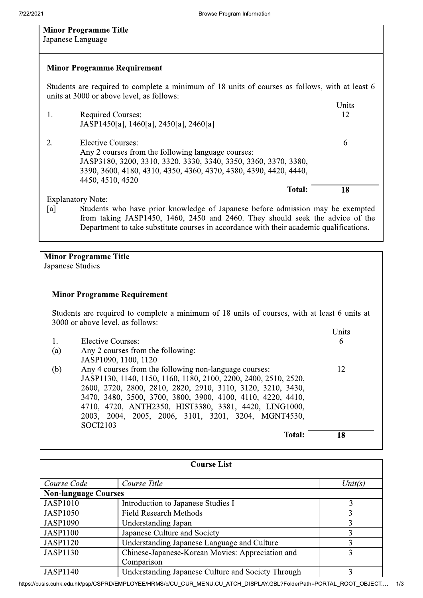| <b>Minor Programme Title</b>                                                                                                                                                                                                                                      |            |  |  |
|-------------------------------------------------------------------------------------------------------------------------------------------------------------------------------------------------------------------------------------------------------------------|------------|--|--|
| Japanese Language                                                                                                                                                                                                                                                 |            |  |  |
|                                                                                                                                                                                                                                                                   |            |  |  |
| <b>Minor Programme Requirement</b>                                                                                                                                                                                                                                |            |  |  |
| Students are required to complete a minimum of 18 units of courses as follows, with at least 6<br>units at 3000 or above level, as follows:                                                                                                                       |            |  |  |
|                                                                                                                                                                                                                                                                   | Units      |  |  |
| <b>Required Courses:</b><br>1.                                                                                                                                                                                                                                    | 12         |  |  |
| JASP1450[a], 1460[a], 2450[a], 2460[a]                                                                                                                                                                                                                            |            |  |  |
| <b>Elective Courses:</b><br>2.                                                                                                                                                                                                                                    | 6          |  |  |
| Any 2 courses from the following language courses:                                                                                                                                                                                                                |            |  |  |
| JASP3180, 3200, 3310, 3320, 3330, 3340, 3350, 3360, 3370, 3380,                                                                                                                                                                                                   |            |  |  |
| 3390, 3600, 4180, 4310, 4350, 4360, 4370, 4380, 4390, 4420, 4440,<br>4450, 4510, 4520                                                                                                                                                                             |            |  |  |
| Total:                                                                                                                                                                                                                                                            | 18         |  |  |
| <b>Explanatory Note:</b>                                                                                                                                                                                                                                          |            |  |  |
| Students who have prior knowledge of Japanese before admission may be exempted<br>[a]<br>from taking JASP1450, 1460, 2450 and 2460. They should seek the advice of the<br>Department to take substitute courses in accordance with their academic qualifications. |            |  |  |
|                                                                                                                                                                                                                                                                   |            |  |  |
| <b>Minor Programme Title</b>                                                                                                                                                                                                                                      |            |  |  |
| Japanese Studies                                                                                                                                                                                                                                                  |            |  |  |
|                                                                                                                                                                                                                                                                   |            |  |  |
| <b>Minor Programme Requirement</b>                                                                                                                                                                                                                                |            |  |  |
| Students are required to complete a minimum of 18 units of courses, with at least 6 units at                                                                                                                                                                      |            |  |  |
| 3000 or above level, as follows:                                                                                                                                                                                                                                  |            |  |  |
| <b>Elective Courses:</b>                                                                                                                                                                                                                                          | Units<br>6 |  |  |
| 1.<br>Any 2 courses from the following:<br>(a)                                                                                                                                                                                                                    |            |  |  |
| JASP1090, 1100, 1120                                                                                                                                                                                                                                              |            |  |  |
| Any 4 courses from the following non-language courses:<br>(b)                                                                                                                                                                                                     | 12         |  |  |
| JASP1130, 1140, 1150, 1160, 1180, 2100, 2200, 2400, 2510, 2520,                                                                                                                                                                                                   |            |  |  |
| 2600, 2720, 2800, 2810, 2820, 2910, 3110, 3120, 3210, 3430,                                                                                                                                                                                                       |            |  |  |
| 3470, 3480, 3500, 3700, 3800, 3900, 4100, 4110, 4220, 4410,<br>4710, 4720, ANTH2350, HIST3380, 3381, 4420, LING1000,                                                                                                                                              |            |  |  |
| 2003, 2004, 2005, 2006, 3101, 3201, 3204, MGNT4530,                                                                                                                                                                                                               |            |  |  |
| SOCI2103                                                                                                                                                                                                                                                          |            |  |  |
| <b>Total:</b>                                                                                                                                                                                                                                                     | 18         |  |  |

| <b>Course List</b>          |                                                    |         |  |  |
|-----------------------------|----------------------------------------------------|---------|--|--|
| Course Code                 | Course Title                                       | Unit(s) |  |  |
| <b>Non-language Courses</b> |                                                    |         |  |  |
| <b>JASP1010</b>             | Introduction to Japanese Studies I                 | 3       |  |  |
| <b>JASP1050</b>             | <b>Field Research Methods</b>                      | 3       |  |  |
| <b>JASP1090</b>             | Understanding Japan                                | 3       |  |  |
| <b>JASP1100</b>             | Japanese Culture and Society                       | 3       |  |  |
| <b>JASP1120</b>             | Understanding Japanese Language and Culture        | 3       |  |  |
| <b>JASP1130</b>             | Chinese-Japanese-Korean Movies: Appreciation and   | 3       |  |  |
|                             | Comparison                                         |         |  |  |
| <b>JASP1140</b>             | Understanding Japanese Culture and Society Through | 3       |  |  |

https://cusis.cuhk.edu.hk/psp/CSPRD/EMPLOYEE/HRMS/c/CU\_CUR\_MENU.CU\_ATCH\_DISPLAY.GBL?FolderPath=PORTAL\_ROOT\_OBJECT.... 1/3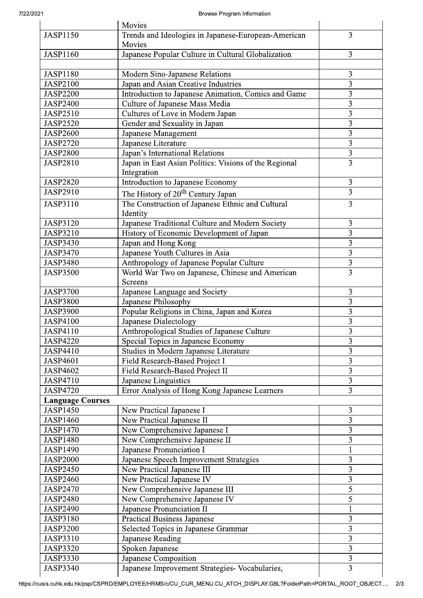|                         | Movies                                                |                         |
|-------------------------|-------------------------------------------------------|-------------------------|
| <b>JASP1150</b>         | Trends and Ideologies in Japanese-European-American   | 3                       |
|                         | Movies                                                |                         |
| <b>JASP1160</b>         | Japanese Popular Culture in Cultural Globalization    | 3                       |
|                         |                                                       |                         |
| <b>JASP1180</b>         | Modern Sino-Japanese Relations                        | 3                       |
| <b>JASP2100</b>         | Japan and Asian Creative Industries                   | 3                       |
| <b>JASP2200</b>         | Introduction to Japanese Animation, Comics and Game   | $\overline{3}$          |
| <b>JASP2400</b>         | Culture of Japanese Mass Media                        | 3                       |
| <b>JASP2510</b>         | Cultures of Love in Modern Japan                      | $\overline{3}$          |
| <b>JASP2520</b>         | Gender and Sexuality in Japan                         | 3                       |
| <b>JASP2600</b>         | Japanese Management                                   | 3                       |
| <b>JASP2720</b>         | Japanese Literature                                   | 3                       |
| <b>JASP2800</b>         | Japan's International Relations                       | $\overline{\mathbf{3}}$ |
| <b>JASP2810</b>         | Japan in East Asian Politics: Visions of the Regional | $\overline{3}$          |
|                         | Integration                                           |                         |
| <b>JASP2820</b>         | Introduction to Japanese Economy                      | $\mathfrak{Z}$          |
| <b>JASP2910</b>         |                                                       | 3                       |
|                         | The History of 20 <sup>th</sup> Century Japan         |                         |
| <b>JASP3110</b>         | The Construction of Japanese Ethnic and Cultural      | 3                       |
|                         | Identity                                              |                         |
| <b>JASP3120</b>         | Japanese Traditional Culture and Modern Society       | 3                       |
| <b>JASP3210</b>         | History of Economic Development of Japan              | 3                       |
| <b>JASP3430</b>         | Japan and Hong Kong                                   | 3                       |
| <b>JASP3470</b>         | Japanese Youth Cultures in Asia                       | 3                       |
| <b>JASP3480</b>         | Anthropology of Japanese Popular Culture              | $\overline{\mathbf{3}}$ |
| <b>JASP3500</b>         | World War Two on Japanese, Chinese and American       | $\overline{3}$          |
|                         | <b>Screens</b>                                        |                         |
| <b>JASP3700</b>         | Japanese Language and Society                         | 3                       |
| <b>JASP3800</b>         | Japanese Philosophy                                   | $\overline{3}$          |
| <b>JASP3900</b>         | Popular Religions in China, Japan and Korea           | 3                       |
| <b>JASP4100</b>         | Japanese Dialectology                                 | $\overline{\mathbf{3}}$ |
| <b>JASP4110</b>         | Anthropological Studies of Japanese Culture           | $\overline{3}$          |
| <b>JASP4220</b>         | Special Topics in Japanese Economy                    | 3                       |
| <b>JASP4410</b>         | Studies in Modern Japanese Literature                 | $\overline{3}$          |
| <b>JASP4601</b>         | Field Research-Based Project I                        | 3                       |
| <b>JASP4602</b>         | Field Research-Based Project II                       | 3                       |
| <b>JASP4710</b>         | Japanese Linguistics                                  | 3                       |
| <b>JASP4720</b>         | Error Analysis of Hong Kong Japanese Learners         | $\overline{3}$          |
| <b>Language Courses</b> |                                                       |                         |
| <b>JASP1450</b>         | New Practical Japanese I                              | 3                       |
| <b>JASP1460</b>         | New Practical Japanese II                             | 3                       |
| JASP1470                | New Comprehensive Japanese I                          | 3                       |
| <b>JASP1480</b>         | New Comprehensive Japanese II                         | 3                       |
| <b>JASP1490</b>         | Japanese Pronunciation I                              | 1                       |
| <b>JASP2000</b>         | Japanese Speech Improvement Strategies                | $\overline{\mathbf{3}}$ |
| <b>JASP2450</b>         | New Practical Japanese III                            | 3                       |
| <b>JASP2460</b>         | New Practical Japanese IV                             | 3                       |
| <b>JASP2470</b>         | New Comprehensive Japanese III                        | 5                       |
| <b>JASP2480</b>         | New Comprehensive Japanese IV                         | 5                       |
| JASP2490                | Japanese Pronunciation II                             | 1                       |
| <b>JASP3180</b>         | <b>Practical Business Japanese</b>                    | 3                       |
| <b>JASP3200</b>         | Selected Topics in Japanese Grammar                   | 3                       |
| <b>JASP3310</b>         | Japanese Reading                                      | $\overline{3}$          |
| <b>JASP3320</b>         | Spoken Japanese                                       | 3                       |
| <b>JASP3330</b>         | Japanese Composition                                  | 3                       |
| <b>JASP3340</b>         | Japanese Improvement Strategies- Vocabularies,        | 3                       |
|                         |                                                       |                         |